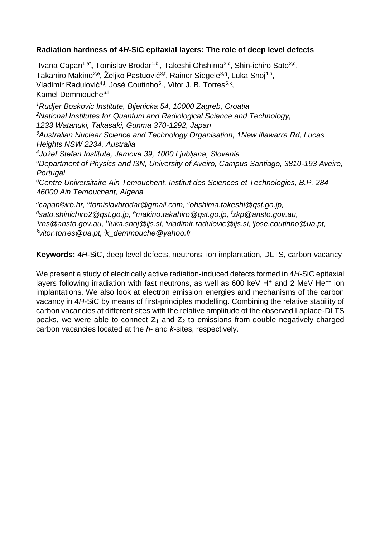# **Radiation hardness of 4***H***-SiC epitaxial layers: The role of deep level defects**

Ivana Capan<sup>1,a\*</sup>, Tomislav Brodar<sup>1,b</sup>, Takeshi Ohshima<sup>2,c</sup>, Shin-ichiro Sato<sup>2,d</sup>, Takahiro Makino<sup>2,e</sup>, Željko Pastuović<sup>3,f</sup>, Rainer Siegele<sup>3,g</sup>, Luka Snoj<sup>4,h</sup>, Vladimir Radulović<sup>4,i</sup>, José Coutinho<sup>5,j</sup>, Vitor J. B. Torres<sup>5,k</sup>, Kamel Demmouche<sup>6,1</sup> *<sup>1</sup>Rudjer Boskovic Institute, Bijenicka 54, 10000 Zagreb, Croatia* 

*<sup>2</sup>National Institutes for Quantum and Radiological Science and Technology,* 

*1233 Watanuki, Takasaki, Gunma 370-1292, Japan* 

*<sup>3</sup>Australian Nuclear Science and Technology Organisation, 1New Illawarra Rd, Lucas Heights NSW 2234, Australia* 

*4 Jožef Stefan Institute, Jamova 39, 1000 Ljubljana, Slovenia* 

*<sup>5</sup>Department of Physics and I3N, University of Aveiro, Campus Santiago, 3810-193 Aveiro, Portugal* 

*<sup>6</sup>Centre Universitaire Ain Temouchent, Institut des Sciences et Technologies, B.P. 284 46000 Ain Temouchent, Algeria*

*a capan©irb.hr, <sup>b</sup> tomislavbrodar@gmail.com, <sup>c</sup>ohshima.takeshi@qst.go.jp, d sato.shinichiro2@qst.go.jp, <sup>e</sup>makino.takahiro@qst.go.jp, <sup>f</sup> zkp@ansto.gov.au, g rns@ansto.gov.au, <sup>h</sup> luka.snoj@ijs.si, <sup>i</sup> vladimir.radulovic@ijs.si, <sup>j</sup> jose.coutinho@ua.pt, k vitor.torres@ua.pt, <sup>l</sup> k\_demmouche@yahoo.fr* 

**Keywords:** 4*H*-SiC, deep level defects, neutrons, ion implantation, DLTS, carbon vacancy

We present a study of electrically active radiation-induced defects formed in 4*H*-SiC epitaxial layers following irradiation with fast neutrons, as well as 600 keV H<sup>+</sup> and 2 MeV He<sup>++</sup> ion implantations. We also look at electron emission energies and mechanisms of the carbon vacancy in 4*H*-SiC by means of first-principles modelling. Combining the relative stability of carbon vacancies at different sites with the relative amplitude of the observed Laplace-DLTS peaks, we were able to connect  $Z_1$  and  $Z_2$  to emissions from double negatively charged carbon vacancies located at the *h*- and *k*-sites, respectively.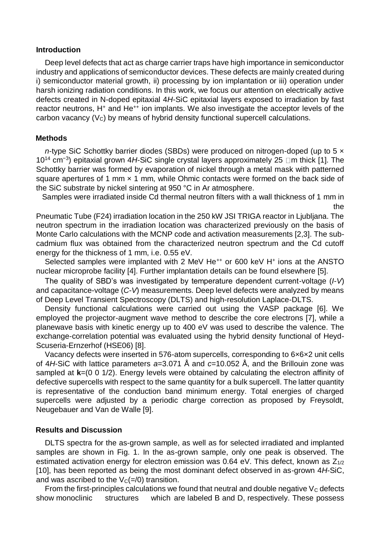#### **Introduction**

Deep level defects that act as charge carrier traps have high importance in semiconductor industry and applications of semiconductor devices. These defects are mainly created during i) semiconductor material growth, ii) processing by ion implantation or iii) operation under harsh ionizing radiation conditions. In this work, we focus our attention on electrically active defects created in N-doped epitaxial 4*H*-SiC epitaxial layers exposed to irradiation by fast reactor neutrons, H<sup>+</sup> and He<sup>++</sup> ion implants. We also investigate the acceptor levels of the carbon vacancy  $(V<sub>C</sub>)$  by means of hybrid density functional supercell calculations.

### **Methods**

*n*-type SiC Schottky barrier diodes (SBDs) were produced on nitrogen-doped (up to 5 x 10<sup>14</sup> cm<sup>-3</sup>) epitaxial grown 4*H*-SiC single crystal layers approximately 25 □m thick [1]. The Schottky barrier was formed by evaporation of nickel through a metal mask with patterned square apertures of 1 mm  $\times$  1 mm, while Ohmic contacts were formed on the back side of the SiC substrate by nickel sintering at 950 °C in Ar atmosphere.

Samples were irradiated inside Cd thermal neutron filters with a wall thickness of 1 mm in the

Pneumatic Tube (F24) irradiation location in the 250 kW JSI TRIGA reactor in Ljubljana. The neutron spectrum in the irradiation location was characterized previously on the basis of Monte Carlo calculations with the MCNP code and activation measurements [2,3]. The subcadmium flux was obtained from the characterized neutron spectrum and the Cd cutoff energy for the thickness of 1 mm, i.e. 0.55 eV.

Selected samples were implanted with 2 MeV He<sup>++</sup> or 600 keV H<sup>+</sup> ions at the ANSTO nuclear microprobe facility [4]. Further implantation details can be found elsewhere [5].

The quality of SBD's was investigated by temperature dependent current-voltage (*I*-*V*) and capacitance-voltage (*C-V*) measurements. Deep level defects were analyzed by means of Deep Level Transient Spectroscopy (DLTS) and high-resolution Laplace-DLTS.

Density functional calculations were carried out using the VASP package [6]. We employed the projector-augment wave method to describe the core electrons [7], while a planewave basis with kinetic energy up to 400 eV was used to describe the valence. The exchange-correlation potential was evaluated using the hybrid density functional of Heyd-Scuseria-Ernzerhof (HSE06) [8].

Vacancy defects were inserted in 576-atom supercells, corresponding to 6×6×2 unit cells of 4*H*-SiC with lattice parameters *a*=3.071 Å and *c*=10.052 Å, and the Brillouin zone was sampled at **k**=(0 0 1/2). Energy levels were obtained by calculating the electron affinity of defective supercells with respect to the same quantity for a bulk supercell. The latter quantity is representative of the conduction band minimum energy. Total energies of charged supercells were adjusted by a periodic charge correction as proposed by Freysoldt, Neugebauer and Van de Walle [9].

### **Results and Discussion**

DLTS spectra for the as-grown sample, as well as for selected irradiated and implanted samples are shown in Fig. 1. In the as-grown sample, only one peak is observed. The estimated activation energy for electron emission was 0.64 eV. This defect, known as  $Z_{1/2}$ [10], has been reported as being the most dominant defect observed in as-grown 4*H*-SiC, and was ascribed to the  $V<sub>C</sub>(=0)$  transition.

From the first-principles calculations we found that neutral and double negative  $V_c$  defects show monoclinic structures which are labeled B and D, respectively. These possess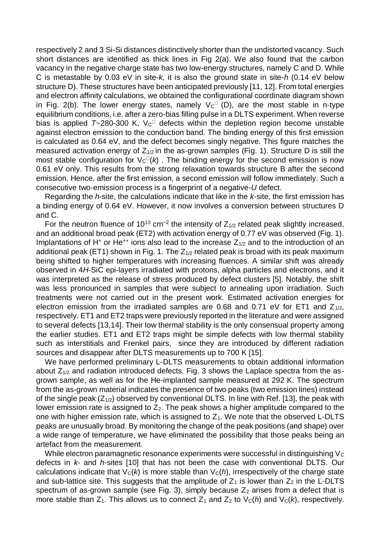respectively 2 and 3 Si-Si distances distinctively shorter than the undistorted vacancy. Such short distances are identified as thick lines in Fig 2(a). We also found that the carbon vacancy in the negative charge state has two low-energy structures, namely C and D. While C is metastable by 0.03 eV in site-*k*, it is also the ground state in site-*h* (0.14 eV below structure D). These structures have been anticipated previously [11, 12]. From total energies and electron affinity calculations, we obtained the configurational coordinate diagram shown in Fig. 2(b). The lower energy states, namely  $V_C$ <sup> $\Box$ </sup> (D), are the most stable in n-type equilibrium conditions, i.e. after a zero-bias filling pulse in a DLTS experiment. When reverse bias is applied  $T \sim 280-300$  K,  $V_C$ <sup> $\Box$ </sup> defects within the depletion region become unstable against electron emission to the conduction band. The binding energy of this first emission is calculated as 0.64 eV, and the defect becomes singly negative. This figure matches the measured activation energy of  $Z_{1/2}$  in the as-grown samples (Fig. 1). Structure D is still the most stable configuration for  $V_c(u)$ . The binding energy for the second emission is now 0.61 eV only. This results from the strong relaxation towards structure B after the second emission. Hence, after the first emission, a second emission will follow immediately. Such a consecutive two-emission process is a fingerprint of a negative-*U* defect.

Regarding the *h*-site, the calculations indicate that like in the *k*-site, the first emission has a binding energy of 0.64 eV. However, it now involves a conversion between structures D and C.

For the neutron fluence of 10<sup>13</sup> cm<sup>-2</sup> the intensity of  $Z_{1/2}$  related peak slightly increased, and an additional broad peak (ET2) with activation energy of 0.77 eV was observed (Fig. 1). Implantations of H<sup>+</sup> or He<sup>++</sup> ions also lead to the increase  $Z_{1/2}$  and to the introduction of an additional peak (ET1) shown in Fig. 1. The  $Z_{1/2}$  related peak is broad with its peak maximum being shifted to higher temperatures with increasing fluences. A similar shift was already observed in 4*H*-SiC epi-layers irradiated with protons, alpha particles and electrons, and it was interpreted as the release of stress produced by defect clusters [5]. Notably, the shift was less pronounced in samples that were subject to annealing upon irradiation. Such treatments were not carried out in the present work. Estimated activation energies for electron emission from the irradiated samples are 0.68 and 0.71 eV for ET1 and  $Z_{1/2}$ , respectively. ET1 and ET2 traps were previously reported in the literature and were assigned to several defects [13,14]. Their low thermal stability is the only consensual property among the earlier studies. ET1 and ET2 traps might be simple defects with low thermal stability such as interstitials and Frenkel pairs, since they are introduced by different radiation sources and disappear after DLTS measurements up to 700 K [15].

We have performed preliminary L-DLTS measurements to obtain additional information about  $Z_{1/2}$  and radiation introduced defects. Fig. 3 shows the Laplace spectra from the asgrown sample, as well as for the He-implanted sample measured at 292 K. The spectrum from the as-grown material indicates the presence of two peaks (two emission lines) instead of the single peak  $(Z_{1/2})$  observed by conventional DLTS. In line with Ref. [13], the peak with lower emission rate is assigned to  $Z_2$ . The peak shows a higher amplitude compared to the one with higher emission rate, which is assigned to  $Z_1$ . We note that the observed L-DLTS peaks are unusually broad. By monitoring the change of the peak positions (and shape) over a wide range of temperature, we have eliminated the possibility that those peaks being an artefact from the measurement.

While electron paramagnetic resonance experiments were successful in distinguishing  $V<sub>C</sub>$ defects in *k-* and *h-*sites [10] that has not been the case with conventional DLTS. Our calculations indicate that  $V_c(k)$  is more stable than  $V_c(h)$ , irrespectively of the charge state and sub-lattice site. This suggests that the amplitude of  $Z_1$  is lower than  $Z_2$  in the L-DLTS spectrum of as-grown sample (see Fig. 3), simply because  $Z_2$  arises from a defect that is more stable than  $Z_1$ . This allows us to connect  $Z_1$  and  $Z_2$  to  $V_C(h)$  and  $V_C(k)$ , respectively.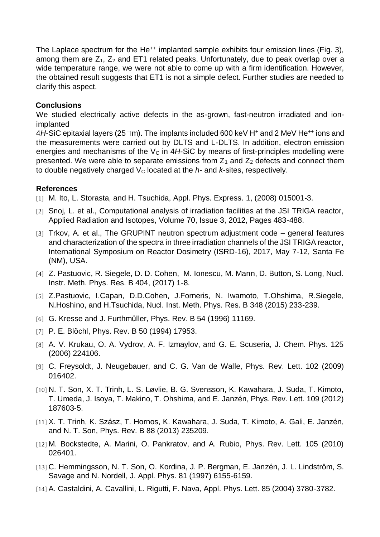The Laplace spectrum for the He<sup>++</sup> implanted sample exhibits four emission lines (Fig. 3), among them are  $Z_1$ ,  $Z_2$  and ET1 related peaks. Unfortunately, due to peak overlap over a wide temperature range, we were not able to come up with a firm identification. However, the obtained result suggests that ET1 is not a simple defect. Further studies are needed to clarify this aspect.

## **Conclusions**

We studied electrically active defects in the as-grown, fast-neutron irradiated and ionimplanted

4*H*-SiC epitaxial layers (25□m). The implants included 600 keV H<sup>+</sup> and 2 MeV He<sup>++</sup> ions and the measurements were carried out by DLTS and L-DLTS. In addition, electron emission energies and mechanisms of the  $V_c$  in  $4H-SiC$  by means of first-principles modelling were presented. We were able to separate emissions from  $Z_1$  and  $Z_2$  defects and connect them to double negatively charged  $V_c$  located at the  $h$ - and  $k$ -sites, respectively.

### **References**

- [1] M. Ito, L. Storasta, and H. Tsuchida, Appl. Phys. Express. 1, (2008) 015001-3.
- [2] Snoj, L. et al., Computational analysis of irradiation facilities at the JSI TRIGA reactor, Applied Radiation and Isotopes, Volume 70, Issue 3, 2012, Pages 483-488.
- [3] Trkov, A. et al., The GRUPINT neutron spectrum adjustment code general features and characterization of the spectra in three irradiation channels of the JSI TRIGA reactor, International Symposium on Reactor Dosimetry (ISRD-16), 2017, May 7-12, Santa Fe (NM), USA.
- [4] Z. Pastuovic, R. Siegele, D. D. Cohen, M. Ionescu, M. Mann, D. Button, S. Long, Nucl. Instr. Meth. Phys. Res. B 404, (2017) 1-8.
- [5] Z.Pastuovic, I.Capan, D.D.Cohen, J.Forneris, N. Iwamoto, T.Ohshima, R.Siegele, N.Hoshino, and H.Tsuchida, Nucl. Inst. Meth. Phys. Res. B 348 (2015) 233-239.
- [6] G. Kresse and J. Furthmüller, Phys. Rev. B 54 (1996) 11169.
- [7] P. E. Blöchl, Phys. Rev. B 50 (1994) 17953.
- [8] A. V. Krukau, O. A. Vydrov, A. F. Izmaylov, and G. E. Scuseria, J. Chem. Phys. 125 (2006) 224106.
- [9] C. Freysoldt, J. Neugebauer, and C. G. Van de Walle, Phys. Rev. Lett. 102 (2009) 016402.
- [10] N. T. Son, X. T. Trinh, L. S. Løvlie, B. G. Svensson, K. Kawahara, J. Suda, T. Kimoto, T. Umeda, J. Isoya, T. Makino, T. Ohshima, and E. Janzén, Phys. Rev. Lett. 109 (2012) 187603-5.
- [11] X. T. Trinh, K. Szász, T. Hornos, K. Kawahara, J. Suda, T. Kimoto, A. Gali, E. Janzén, and N. T. Son, Phys. Rev. B 88 (2013) 235209.
- [12] M. Bockstedte, A. Marini, O. Pankratov, and A. Rubio, Phys. Rev. Lett. 105 (2010) 026401.
- [13] C. Hemmingsson, N. T. Son, O. Kordina, J. P. Bergman, E. Janzén, J. L. Lindström, S. Savage and N. Nordell, J. Appl. Phys. 81 (1997) 6155-6159.
- [14] A. Castaldini, A. Cavallini, L. Rigutti, F. Nava, Appl. Phys. Lett. 85 (2004) 3780-3782.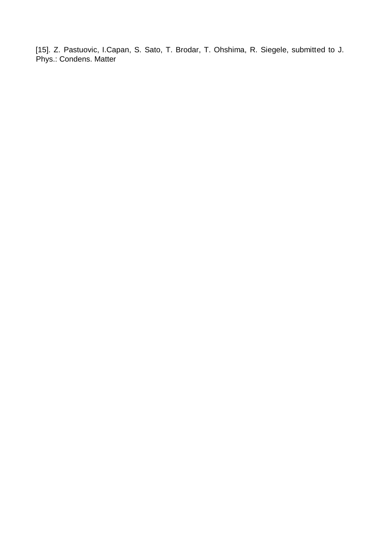[15]. Z. Pastuovic, I.Capan, S. Sato, T. Brodar, T. Ohshima, R. Siegele, submitted to J. Phys.: Condens. Matter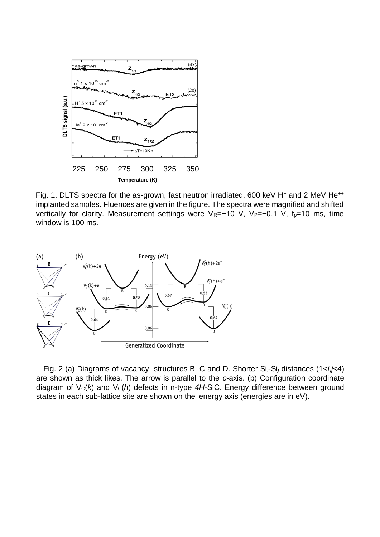

Fig. 1. DLTS spectra for the as-grown, fast neutron irradiated, 600 keV H<sup>+</sup> and 2 MeV He<sup>++</sup> implanted samples. Fluences are given in the figure. The spectra were magnified and shifted vertically for clarity. Measurement settings were V<sub>R</sub>=−10 V, V<sub>P</sub>=−0.1 V, t<sub>p</sub>=10 ms, time window is 100 ms.



Fig. 2 (a) Diagrams of vacancy structures B, C and D. Shorter Si*i*-Si*<sup>j</sup>* distances (1<*i*,*j*<4) are shown as thick likes. The arrow is parallel to the *c*-axis. (b) Configuration coordinate diagram of  $V_c(k)$  and  $V_c(h)$  defects in n-type  $4H$ -SiC. Energy difference between ground states in each sub-lattice site are shown on the energy axis (energies are in eV).